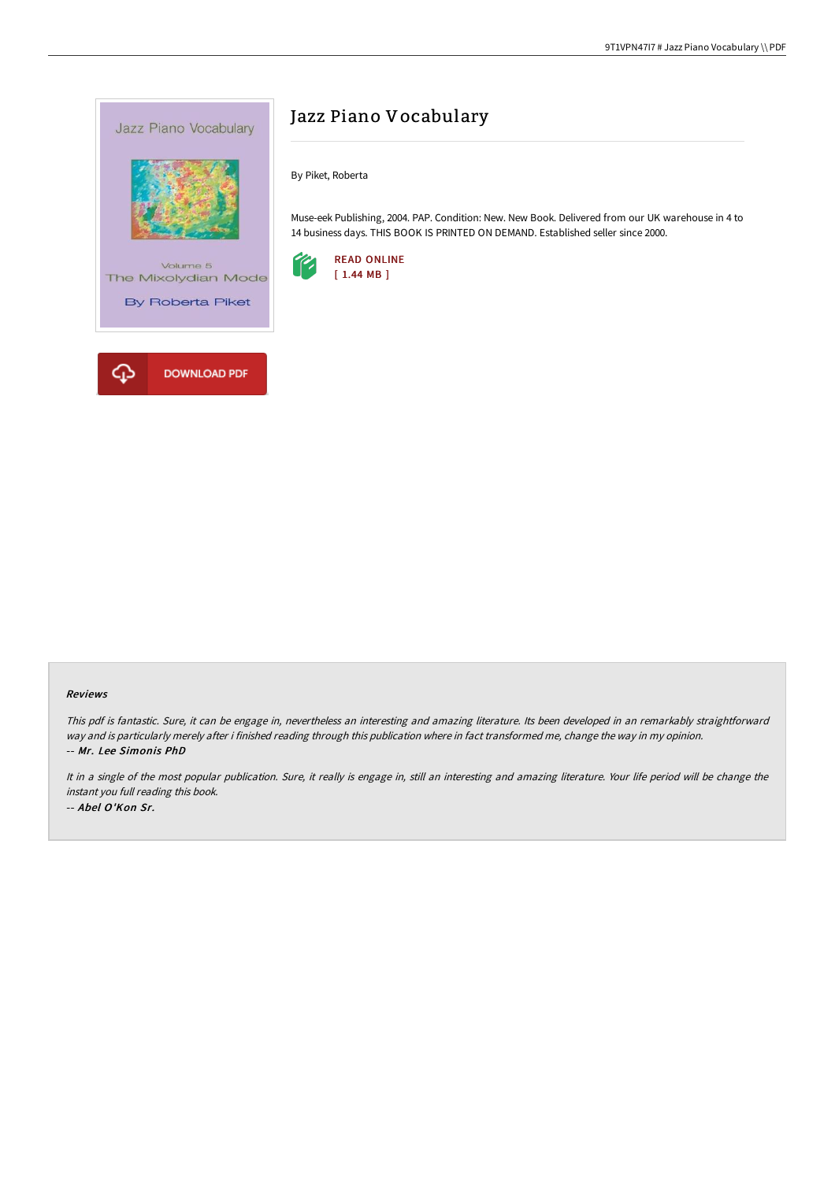

# Jazz Piano Vocabulary

By Piket, Roberta

Muse-eek Publishing, 2004. PAP. Condition: New. New Book. Delivered from our UK warehouse in 4 to 14 business days. THIS BOOK IS PRINTED ON DEMAND. Established seller since 2000.



### Reviews

This pdf is fantastic. Sure, it can be engage in, nevertheless an interesting and amazing literature. Its been developed in an remarkably straightforward way and is particularly merely after i finished reading through this publication where in fact transformed me, change the way in my opinion. -- Mr. Lee Simonis PhD

It in <sup>a</sup> single of the most popular publication. Sure, it really is engage in, still an interesting and amazing literature. Your life period will be change the instant you full reading this book. -- Abel O'Kon Sr.